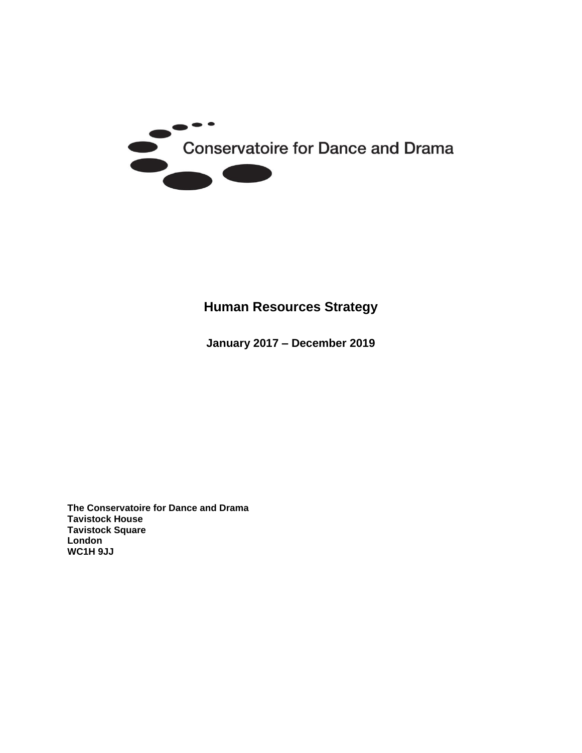

# **Human Resources Strategy**

**January 2017 – December 2019**

**The Conservatoire for Dance and Drama Tavistock House Tavistock Square London WC1H 9JJ**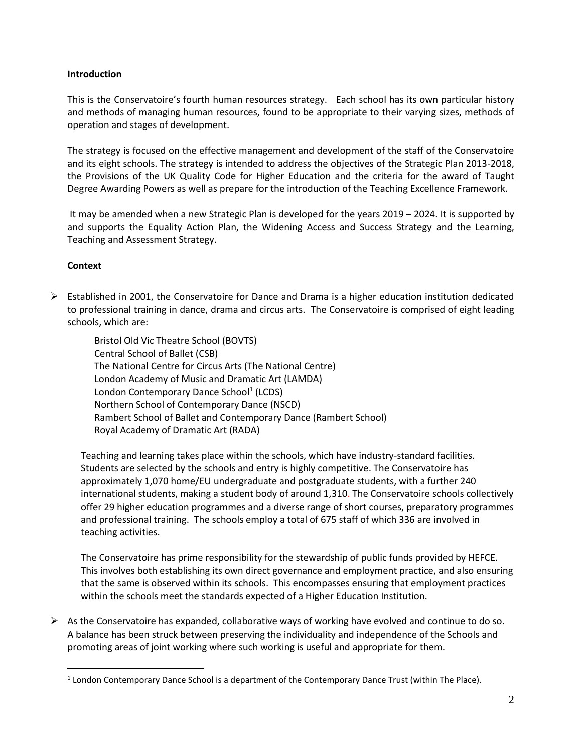#### **Introduction**

This is the Conservatoire's fourth human resources strategy. Each school has its own particular history and methods of managing human resources, found to be appropriate to their varying sizes, methods of operation and stages of development.

The strategy is focused on the effective management and development of the staff of the Conservatoire and its eight schools. The strategy is intended to address the objectives of the Strategic Plan 2013-2018, the Provisions of the UK Quality Code for Higher Education and the criteria for the award of Taught Degree Awarding Powers as well as prepare for the introduction of the Teaching Excellence Framework.

It may be amended when a new Strategic Plan is developed for the years 2019 – 2024. It is supported by and supports the Equality Action Plan, the Widening Access and Success Strategy and the Learning, Teaching and Assessment Strategy.

#### **Context**

 $\overline{a}$ 

 $\triangleright$  Established in 2001, the Conservatoire for Dance and Drama is a higher education institution dedicated to professional training in dance, drama and circus arts. The Conservatoire is comprised of eight leading schools, which are:

Bristol Old Vic Theatre School (BOVTS) Central School of Ballet (CSB) The National Centre for Circus Arts (The National Centre) London Academy of Music and Dramatic Art (LAMDA) London Contemporary Dance School<sup>1</sup> (LCDS) Northern School of Contemporary Dance (NSCD) Rambert School of Ballet and Contemporary Dance (Rambert School) Royal Academy of Dramatic Art (RADA)

Teaching and learning takes place within the schools, which have industry-standard facilities. Students are selected by the schools and entry is highly competitive. The Conservatoire has approximately 1,070 home/EU undergraduate and postgraduate students, with a further 240 international students, making a student body of around 1,310. The Conservatoire schools collectively offer 29 higher education programmes and a diverse range of short courses, preparatory programmes and professional training. The schools employ a total of 675 staff of which 336 are involved in teaching activities.

The Conservatoire has prime responsibility for the stewardship of public funds provided by HEFCE. This involves both establishing its own direct governance and employment practice, and also ensuring that the same is observed within its schools. This encompasses ensuring that employment practices within the schools meet the standards expected of a Higher Education Institution.

 $\triangleright$  As the Conservatoire has expanded, collaborative ways of working have evolved and continue to do so. A balance has been struck between preserving the individuality and independence of the Schools and promoting areas of joint working where such working is useful and appropriate for them.

<sup>&</sup>lt;sup>1</sup> London Contemporary Dance School is a department of the Contemporary Dance Trust (within The Place).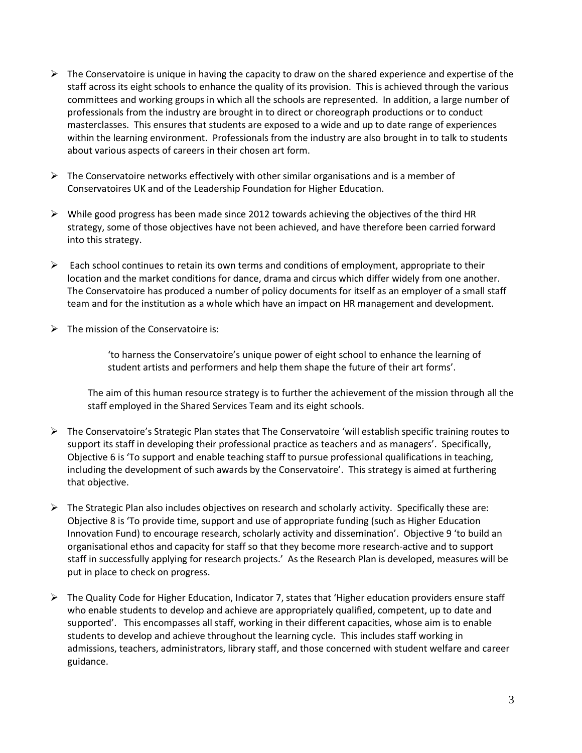- $\triangleright$  The Conservatoire is unique in having the capacity to draw on the shared experience and expertise of the staff across its eight schools to enhance the quality of its provision. This is achieved through the various committees and working groups in which all the schools are represented. In addition, a large number of professionals from the industry are brought in to direct or choreograph productions or to conduct masterclasses. This ensures that students are exposed to a wide and up to date range of experiences within the learning environment. Professionals from the industry are also brought in to talk to students about various aspects of careers in their chosen art form.
- $\triangleright$  The Conservatoire networks effectively with other similar organisations and is a member of Conservatoires UK and of the Leadership Foundation for Higher Education.
- $\triangleright$  While good progress has been made since 2012 towards achieving the objectives of the third HR strategy, some of those objectives have not been achieved, and have therefore been carried forward into this strategy.
- $\triangleright$  Each school continues to retain its own terms and conditions of employment, appropriate to their location and the market conditions for dance, drama and circus which differ widely from one another. The Conservatoire has produced a number of policy documents for itself as an employer of a small staff team and for the institution as a whole which have an impact on HR management and development.
- $\triangleright$  The mission of the Conservatoire is:

'to harness the Conservatoire's unique power of eight school to enhance the learning of student artists and performers and help them shape the future of their art forms'.

The aim of this human resource strategy is to further the achievement of the mission through all the staff employed in the Shared Services Team and its eight schools.

- $\triangleright$  The Conservatoire's Strategic Plan states that The Conservatoire 'will establish specific training routes to support its staff in developing their professional practice as teachers and as managers'. Specifically, Objective 6 is 'To support and enable teaching staff to pursue professional qualifications in teaching, including the development of such awards by the Conservatoire'. This strategy is aimed at furthering that objective.
- $\triangleright$  The Strategic Plan also includes objectives on research and scholarly activity. Specifically these are: Objective 8 is 'To provide time, support and use of appropriate funding (such as Higher Education Innovation Fund) to encourage research, scholarly activity and dissemination'. Objective 9 'to build an organisational ethos and capacity for staff so that they become more research-active and to support staff in successfully applying for research projects.' As the Research Plan is developed, measures will be put in place to check on progress.
- $\triangleright$  The Quality Code for Higher Education, Indicator 7, states that 'Higher education providers ensure staff who enable students to develop and achieve are appropriately qualified, competent, up to date and supported'. This encompasses all staff, working in their different capacities, whose aim is to enable students to develop and achieve throughout the learning cycle. This includes staff working in admissions, teachers, administrators, library staff, and those concerned with student welfare and career guidance.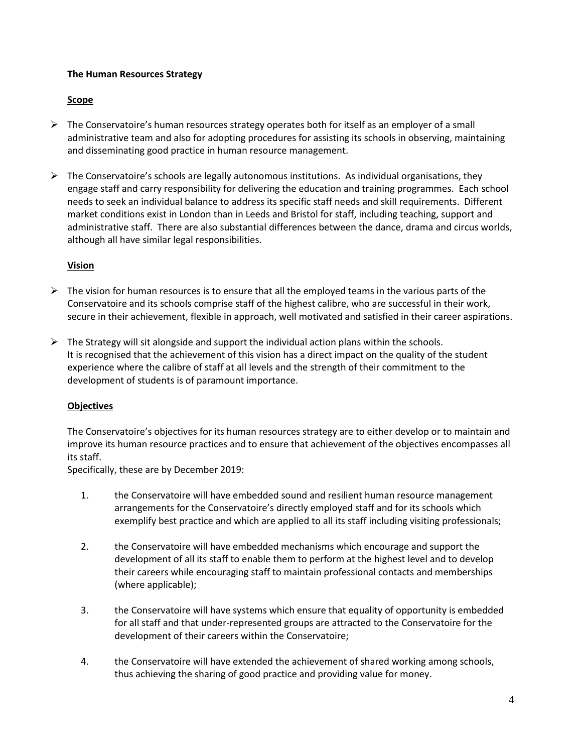#### **The Human Resources Strategy**

#### **Scope**

- $\triangleright$  The Conservatoire's human resources strategy operates both for itself as an employer of a small administrative team and also for adopting procedures for assisting its schools in observing, maintaining and disseminating good practice in human resource management.
- $\triangleright$  The Conservatoire's schools are legally autonomous institutions. As individual organisations, they engage staff and carry responsibility for delivering the education and training programmes. Each school needs to seek an individual balance to address its specific staff needs and skill requirements. Different market conditions exist in London than in Leeds and Bristol for staff, including teaching, support and administrative staff. There are also substantial differences between the dance, drama and circus worlds, although all have similar legal responsibilities.

#### **Vision**

- $\triangleright$  The vision for human resources is to ensure that all the employed teams in the various parts of the Conservatoire and its schools comprise staff of the highest calibre, who are successful in their work, secure in their achievement, flexible in approach, well motivated and satisfied in their career aspirations.
- $\triangleright$  The Strategy will sit alongside and support the individual action plans within the schools. It is recognised that the achievement of this vision has a direct impact on the quality of the student experience where the calibre of staff at all levels and the strength of their commitment to the development of students is of paramount importance.

#### **Objectives**

The Conservatoire's objectives for its human resources strategy are to either develop or to maintain and improve its human resource practices and to ensure that achievement of the objectives encompasses all its staff.

Specifically, these are by December 2019:

- 1. the Conservatoire will have embedded sound and resilient human resource management arrangements for the Conservatoire's directly employed staff and for its schools which exemplify best practice and which are applied to all its staff including visiting professionals;
- 2. the Conservatoire will have embedded mechanisms which encourage and support the development of all its staff to enable them to perform at the highest level and to develop their careers while encouraging staff to maintain professional contacts and memberships (where applicable);
- 3. the Conservatoire will have systems which ensure that equality of opportunity is embedded for all staff and that under-represented groups are attracted to the Conservatoire for the development of their careers within the Conservatoire;
- 4. the Conservatoire will have extended the achievement of shared working among schools, thus achieving the sharing of good practice and providing value for money.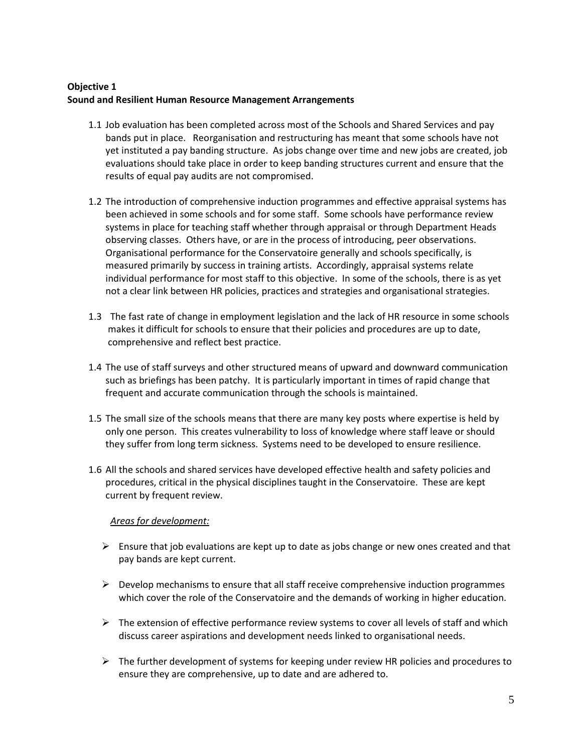# **Objective 1 Sound and Resilient Human Resource Management Arrangements**

- 1.1 Job evaluation has been completed across most of the Schools and Shared Services and pay bands put in place. Reorganisation and restructuring has meant that some schools have not yet instituted a pay banding structure. As jobs change over time and new jobs are created, job evaluations should take place in order to keep banding structures current and ensure that the results of equal pay audits are not compromised.
- 1.2 The introduction of comprehensive induction programmes and effective appraisal systems has been achieved in some schools and for some staff. Some schools have performance review systems in place for teaching staff whether through appraisal or through Department Heads observing classes. Others have, or are in the process of introducing, peer observations. Organisational performance for the Conservatoire generally and schools specifically, is measured primarily by success in training artists. Accordingly, appraisal systems relate individual performance for most staff to this objective. In some of the schools, there is as yet not a clear link between HR policies, practices and strategies and organisational strategies.
- 1.3 The fast rate of change in employment legislation and the lack of HR resource in some schools makes it difficult for schools to ensure that their policies and procedures are up to date, comprehensive and reflect best practice.
- 1.4 The use of staff surveys and other structured means of upward and downward communication such as briefings has been patchy. It is particularly important in times of rapid change that frequent and accurate communication through the schools is maintained.
- 1.5 The small size of the schools means that there are many key posts where expertise is held by only one person. This creates vulnerability to loss of knowledge where staff leave or should they suffer from long term sickness. Systems need to be developed to ensure resilience.
- 1.6 All the schools and shared services have developed effective health and safety policies and procedures, critical in the physical disciplines taught in the Conservatoire. These are kept current by frequent review.

#### *Areas for development:*

- $\triangleright$  Ensure that job evaluations are kept up to date as jobs change or new ones created and that pay bands are kept current.
- $\triangleright$  Develop mechanisms to ensure that all staff receive comprehensive induction programmes which cover the role of the Conservatoire and the demands of working in higher education.
- $\triangleright$  The extension of effective performance review systems to cover all levels of staff and which discuss career aspirations and development needs linked to organisational needs.
- $\triangleright$  The further development of systems for keeping under review HR policies and procedures to ensure they are comprehensive, up to date and are adhered to.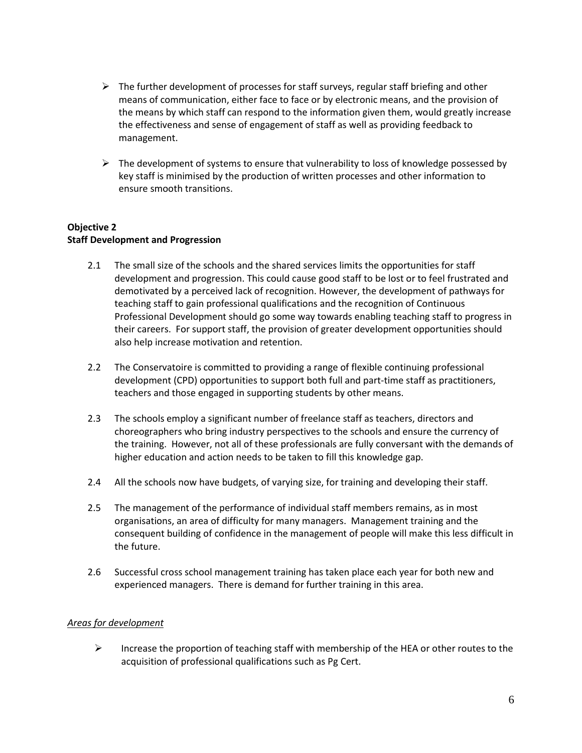- $\triangleright$  The further development of processes for staff surveys, regular staff briefing and other means of communication, either face to face or by electronic means, and the provision of the means by which staff can respond to the information given them, would greatly increase the effectiveness and sense of engagement of staff as well as providing feedback to management.
- $\triangleright$  The development of systems to ensure that vulnerability to loss of knowledge possessed by key staff is minimised by the production of written processes and other information to ensure smooth transitions.

#### **Objective 2 Staff Development and Progression**

- 2.1 The small size of the schools and the shared services limits the opportunities for staff development and progression. This could cause good staff to be lost or to feel frustrated and demotivated by a perceived lack of recognition. However, the development of pathways for teaching staff to gain professional qualifications and the recognition of Continuous Professional Development should go some way towards enabling teaching staff to progress in their careers. For support staff, the provision of greater development opportunities should also help increase motivation and retention.
- 2.2 The Conservatoire is committed to providing a range of flexible continuing professional development (CPD) opportunities to support both full and part-time staff as practitioners, teachers and those engaged in supporting students by other means.
- 2.3 The schools employ a significant number of freelance staff as teachers, directors and choreographers who bring industry perspectives to the schools and ensure the currency of the training. However, not all of these professionals are fully conversant with the demands of higher education and action needs to be taken to fill this knowledge gap.
- 2.4 All the schools now have budgets, of varying size, for training and developing their staff.
- 2.5 The management of the performance of individual staff members remains, as in most organisations, an area of difficulty for many managers. Management training and the consequent building of confidence in the management of people will make this less difficult in the future.
- 2.6 Successful cross school management training has taken place each year for both new and experienced managers. There is demand for further training in this area.

#### *Areas for development*

 $\triangleright$  Increase the proportion of teaching staff with membership of the HEA or other routes to the acquisition of professional qualifications such as Pg Cert.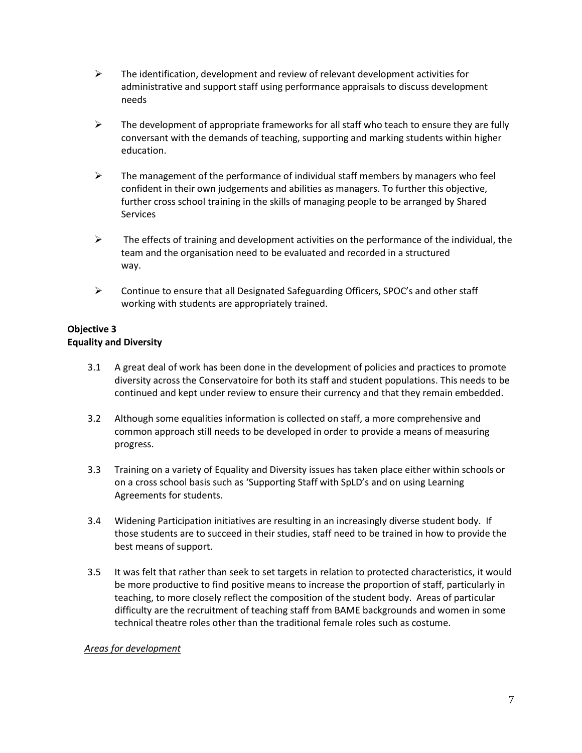- $\triangleright$  The identification, development and review of relevant development activities for administrative and support staff using performance appraisals to discuss development needs
- $\triangleright$  The development of appropriate frameworks for all staff who teach to ensure they are fully conversant with the demands of teaching, supporting and marking students within higher education.
- $\triangleright$  The management of the performance of individual staff members by managers who feel confident in their own judgements and abilities as managers. To further this objective, further cross school training in the skills of managing people to be arranged by Shared **Services**
- $\triangleright$  The effects of training and development activities on the performance of the individual, the team and the organisation need to be evaluated and recorded in a structured way.
- Continue to ensure that all Designated Safeguarding Officers, SPOC's and other staff working with students are appropriately trained.

### **Objective 3 Equality and Diversity**

- 3.1 A great deal of work has been done in the development of policies and practices to promote diversity across the Conservatoire for both its staff and student populations. This needs to be continued and kept under review to ensure their currency and that they remain embedded.
- 3.2 Although some equalities information is collected on staff, a more comprehensive and common approach still needs to be developed in order to provide a means of measuring progress.
- 3.3 Training on a variety of Equality and Diversity issues has taken place either within schools or on a cross school basis such as 'Supporting Staff with SpLD's and on using Learning Agreements for students.
- 3.4 Widening Participation initiatives are resulting in an increasingly diverse student body. If those students are to succeed in their studies, staff need to be trained in how to provide the best means of support.
- 3.5 It was felt that rather than seek to set targets in relation to protected characteristics, it would be more productive to find positive means to increase the proportion of staff, particularly in teaching, to more closely reflect the composition of the student body. Areas of particular difficulty are the recruitment of teaching staff from BAME backgrounds and women in some technical theatre roles other than the traditional female roles such as costume.

#### *Areas for development*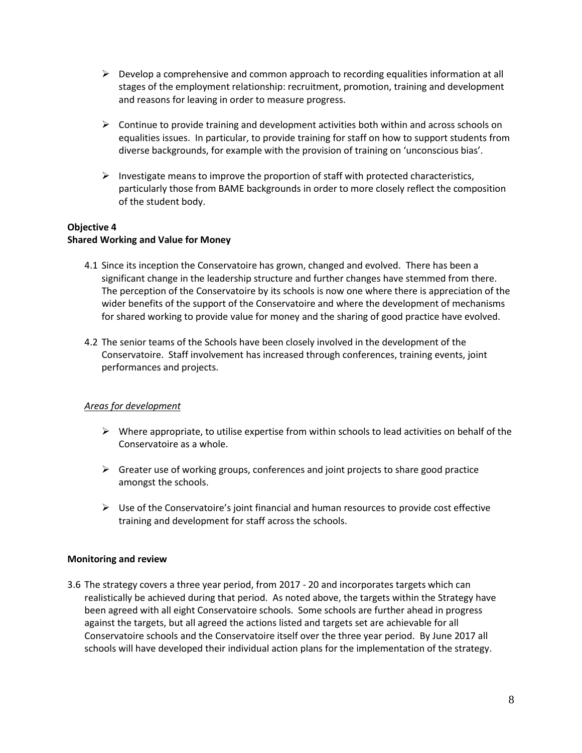- $\triangleright$  Develop a comprehensive and common approach to recording equalities information at all stages of the employment relationship: recruitment, promotion, training and development and reasons for leaving in order to measure progress.
- $\triangleright$  Continue to provide training and development activities both within and across schools on equalities issues. In particular, to provide training for staff on how to support students from diverse backgrounds, for example with the provision of training on 'unconscious bias'.
- $\triangleright$  Investigate means to improve the proportion of staff with protected characteristics, particularly those from BAME backgrounds in order to more closely reflect the composition of the student body.

#### **Objective 4 Shared Working and Value for Money**

- 4.1 Since its inception the Conservatoire has grown, changed and evolved. There has been a significant change in the leadership structure and further changes have stemmed from there. The perception of the Conservatoire by its schools is now one where there is appreciation of the wider benefits of the support of the Conservatoire and where the development of mechanisms for shared working to provide value for money and the sharing of good practice have evolved.
- 4.2 The senior teams of the Schools have been closely involved in the development of the Conservatoire. Staff involvement has increased through conferences, training events, joint performances and projects.

# *Areas for development*

- $\triangleright$  Where appropriate, to utilise expertise from within schools to lead activities on behalf of the Conservatoire as a whole.
- $\triangleright$  Greater use of working groups, conferences and joint projects to share good practice amongst the schools.
- $\triangleright$  Use of the Conservatoire's joint financial and human resources to provide cost effective training and development for staff across the schools.

#### **Monitoring and review**

3.6 The strategy covers a three year period, from 2017 - 20 and incorporates targets which can realistically be achieved during that period. As noted above, the targets within the Strategy have been agreed with all eight Conservatoire schools. Some schools are further ahead in progress against the targets, but all agreed the actions listed and targets set are achievable for all Conservatoire schools and the Conservatoire itself over the three year period. By June 2017 all schools will have developed their individual action plans for the implementation of the strategy.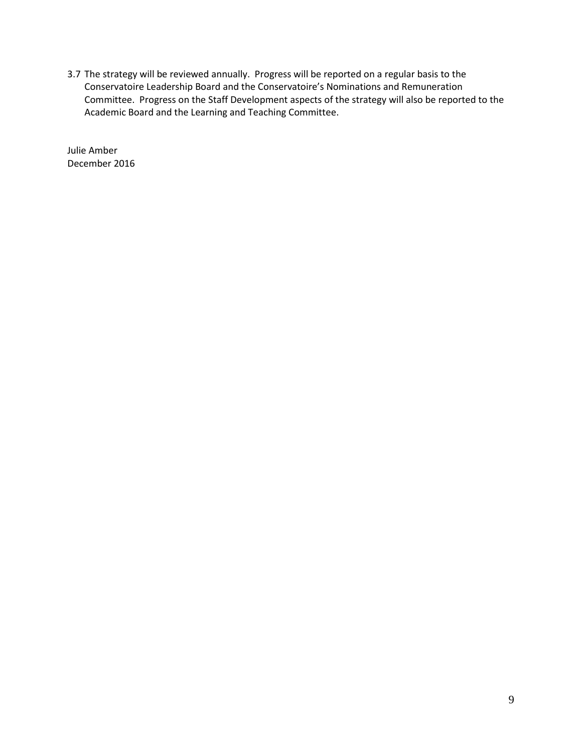3.7 The strategy will be reviewed annually. Progress will be reported on a regular basis to the Conservatoire Leadership Board and the Conservatoire's Nominations and Remuneration Committee. Progress on the Staff Development aspects of the strategy will also be reported to the Academic Board and the Learning and Teaching Committee.

Julie Amber December 2016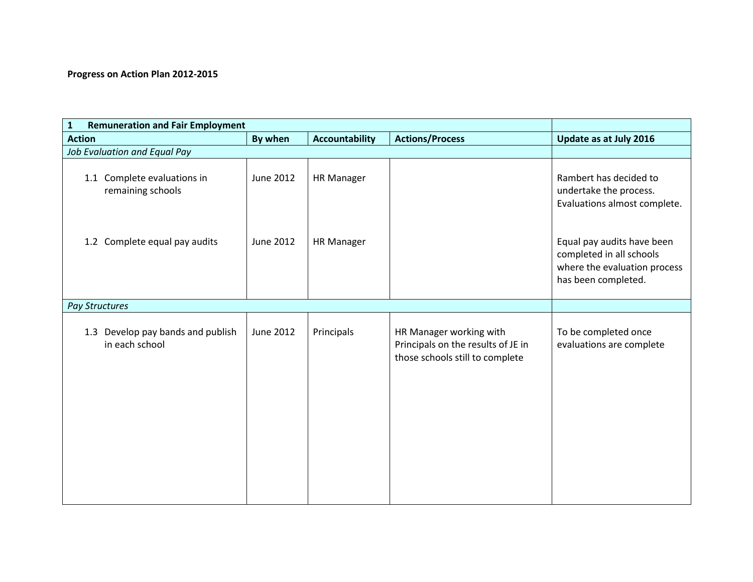# **Progress on Action Plan 2012-2015**

| <b>Remuneration and Fair Employment</b><br>$\mathbf{1}$ |                  |                       |                                                                                                  |                                                                                                               |
|---------------------------------------------------------|------------------|-----------------------|--------------------------------------------------------------------------------------------------|---------------------------------------------------------------------------------------------------------------|
| <b>Action</b>                                           | By when          | <b>Accountability</b> | <b>Actions/Process</b>                                                                           | Update as at July 2016                                                                                        |
| Job Evaluation and Equal Pay                            |                  |                       |                                                                                                  |                                                                                                               |
| 1.1 Complete evaluations in<br>remaining schools        | June 2012        | <b>HR Manager</b>     |                                                                                                  | Rambert has decided to<br>undertake the process.<br>Evaluations almost complete.                              |
| Complete equal pay audits<br>1.2                        | June 2012        | <b>HR Manager</b>     |                                                                                                  | Equal pay audits have been<br>completed in all schools<br>where the evaluation process<br>has been completed. |
| <b>Pay Structures</b>                                   |                  |                       |                                                                                                  |                                                                                                               |
| Develop pay bands and publish<br>1.3<br>in each school  | <b>June 2012</b> | Principals            | HR Manager working with<br>Principals on the results of JE in<br>those schools still to complete | To be completed once<br>evaluations are complete                                                              |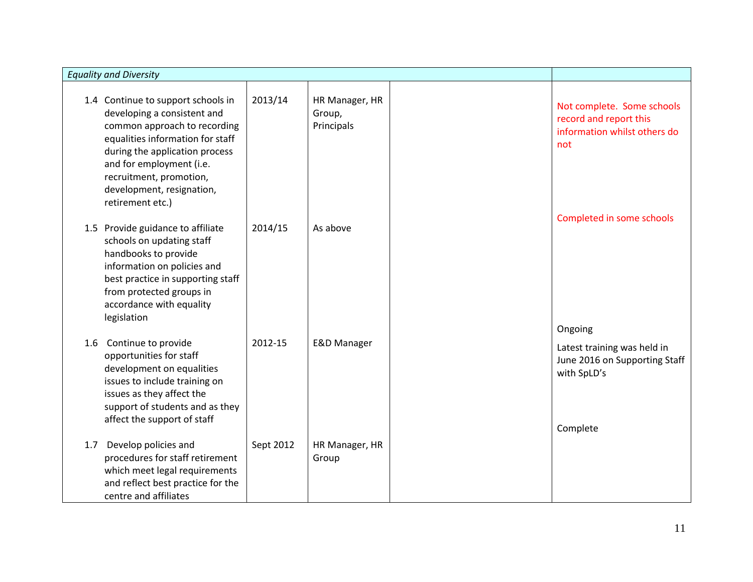| <b>Equality and Diversity</b>                                                                                                                                                                                                                                                   |           |                                        |                                                                                             |
|---------------------------------------------------------------------------------------------------------------------------------------------------------------------------------------------------------------------------------------------------------------------------------|-----------|----------------------------------------|---------------------------------------------------------------------------------------------|
| 1.4 Continue to support schools in<br>developing a consistent and<br>common approach to recording<br>equalities information for staff<br>during the application process<br>and for employment (i.e.<br>recruitment, promotion,<br>development, resignation,<br>retirement etc.) | 2013/14   | HR Manager, HR<br>Group,<br>Principals | Not complete. Some schools<br>record and report this<br>information whilst others do<br>not |
| 1.5 Provide guidance to affiliate<br>schools on updating staff<br>handbooks to provide<br>information on policies and<br>best practice in supporting staff<br>from protected groups in<br>accordance with equality<br>legislation                                               | 2014/15   | As above                               | Completed in some schools<br>Ongoing                                                        |
| Continue to provide<br>1.6<br>opportunities for staff<br>development on equalities<br>issues to include training on<br>issues as they affect the<br>support of students and as they<br>affect the support of staff                                                              | 2012-15   | <b>E&amp;D Manager</b>                 | Latest training was held in<br>June 2016 on Supporting Staff<br>with SpLD's                 |
| Develop policies and<br>1.7<br>procedures for staff retirement<br>which meet legal requirements<br>and reflect best practice for the<br>centre and affiliates                                                                                                                   | Sept 2012 | HR Manager, HR<br>Group                | Complete                                                                                    |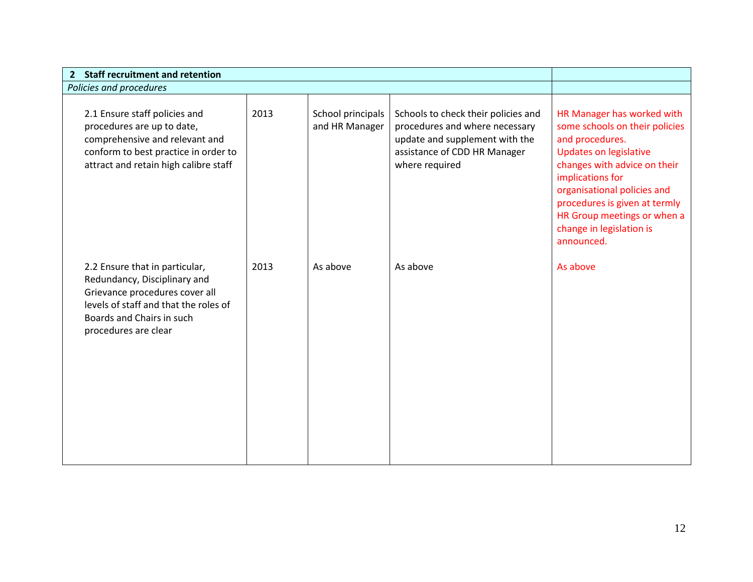| <b>Staff recruitment and retention</b><br>$\mathbf{2}$                                                                                                                                         |      |                                     |                                                                                                                                                           |                                                                                                                                                                                                                                                                                                               |
|------------------------------------------------------------------------------------------------------------------------------------------------------------------------------------------------|------|-------------------------------------|-----------------------------------------------------------------------------------------------------------------------------------------------------------|---------------------------------------------------------------------------------------------------------------------------------------------------------------------------------------------------------------------------------------------------------------------------------------------------------------|
| Policies and procedures                                                                                                                                                                        |      |                                     |                                                                                                                                                           |                                                                                                                                                                                                                                                                                                               |
| 2.1 Ensure staff policies and<br>procedures are up to date,<br>comprehensive and relevant and<br>conform to best practice in order to<br>attract and retain high calibre staff                 | 2013 | School principals<br>and HR Manager | Schools to check their policies and<br>procedures and where necessary<br>update and supplement with the<br>assistance of CDD HR Manager<br>where required | HR Manager has worked with<br>some schools on their policies<br>and procedures.<br><b>Updates on legislative</b><br>changes with advice on their<br>implications for<br>organisational policies and<br>procedures is given at termly<br>HR Group meetings or when a<br>change in legislation is<br>announced. |
| 2.2 Ensure that in particular,<br>Redundancy, Disciplinary and<br>Grievance procedures cover all<br>levels of staff and that the roles of<br>Boards and Chairs in such<br>procedures are clear | 2013 | As above                            | As above                                                                                                                                                  | As above                                                                                                                                                                                                                                                                                                      |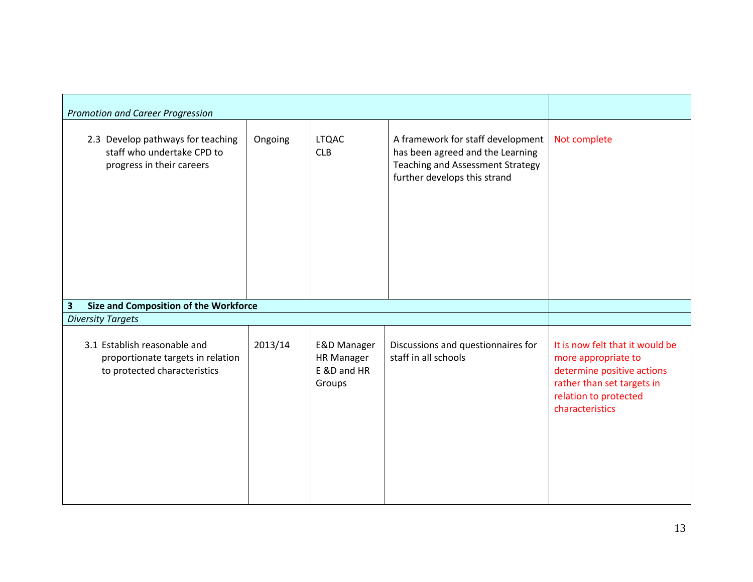| <b>Promotion and Career Progression</b>                                                           |         |                                                                      |                                                                                                                                                  |                                                                                                                                                                |
|---------------------------------------------------------------------------------------------------|---------|----------------------------------------------------------------------|--------------------------------------------------------------------------------------------------------------------------------------------------|----------------------------------------------------------------------------------------------------------------------------------------------------------------|
| 2.3 Develop pathways for teaching<br>staff who undertake CPD to<br>progress in their careers      | Ongoing | <b>LTQAC</b><br><b>CLB</b>                                           | A framework for staff development<br>has been agreed and the Learning<br><b>Teaching and Assessment Strategy</b><br>further develops this strand | Not complete                                                                                                                                                   |
| 3<br>Size and Composition of the Workforce                                                        |         |                                                                      |                                                                                                                                                  |                                                                                                                                                                |
| <b>Diversity Targets</b>                                                                          |         |                                                                      |                                                                                                                                                  |                                                                                                                                                                |
| 3.1 Establish reasonable and<br>proportionate targets in relation<br>to protected characteristics | 2013/14 | <b>E&amp;D Manager</b><br><b>HR Manager</b><br>E &D and HR<br>Groups | Discussions and questionnaires for<br>staff in all schools                                                                                       | It is now felt that it would be<br>more appropriate to<br>determine positive actions<br>rather than set targets in<br>relation to protected<br>characteristics |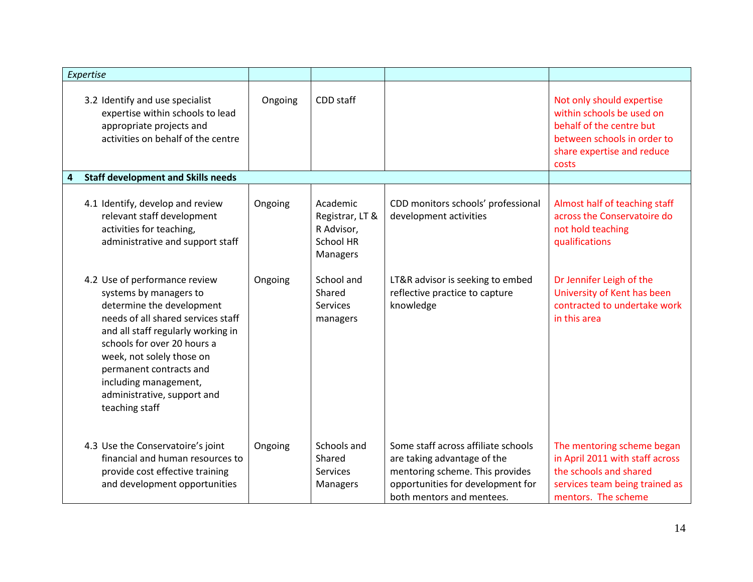|   | Expertise                                                                                                                                                                                                                                                                                                                         |         |                                                                           |                                                                                                                                                                         |                                                                                                                                                          |
|---|-----------------------------------------------------------------------------------------------------------------------------------------------------------------------------------------------------------------------------------------------------------------------------------------------------------------------------------|---------|---------------------------------------------------------------------------|-------------------------------------------------------------------------------------------------------------------------------------------------------------------------|----------------------------------------------------------------------------------------------------------------------------------------------------------|
|   | 3.2 Identify and use specialist<br>expertise within schools to lead<br>appropriate projects and<br>activities on behalf of the centre                                                                                                                                                                                             | Ongoing | CDD staff                                                                 |                                                                                                                                                                         | Not only should expertise<br>within schools be used on<br>behalf of the centre but<br>between schools in order to<br>share expertise and reduce<br>costs |
| 4 | <b>Staff development and Skills needs</b>                                                                                                                                                                                                                                                                                         |         |                                                                           |                                                                                                                                                                         |                                                                                                                                                          |
|   | 4.1 Identify, develop and review<br>relevant staff development<br>activities for teaching,<br>administrative and support staff                                                                                                                                                                                                    | Ongoing | Academic<br>Registrar, LT &<br>R Advisor,<br><b>School HR</b><br>Managers | CDD monitors schools' professional<br>development activities                                                                                                            | Almost half of teaching staff<br>across the Conservatoire do<br>not hold teaching<br>qualifications                                                      |
|   | 4.2 Use of performance review<br>systems by managers to<br>determine the development<br>needs of all shared services staff<br>and all staff regularly working in<br>schools for over 20 hours a<br>week, not solely those on<br>permanent contracts and<br>including management,<br>administrative, support and<br>teaching staff | Ongoing | School and<br>Shared<br>Services<br>managers                              | LT&R advisor is seeking to embed<br>reflective practice to capture<br>knowledge                                                                                         | Dr Jennifer Leigh of the<br>University of Kent has been<br>contracted to undertake work<br>in this area                                                  |
|   | 4.3 Use the Conservatoire's joint<br>financial and human resources to<br>provide cost effective training<br>and development opportunities                                                                                                                                                                                         | Ongoing | Schools and<br>Shared<br>Services<br>Managers                             | Some staff across affiliate schools<br>are taking advantage of the<br>mentoring scheme. This provides<br>opportunities for development for<br>both mentors and mentees. | The mentoring scheme began<br>in April 2011 with staff across<br>the schools and shared<br>services team being trained as<br>mentors. The scheme         |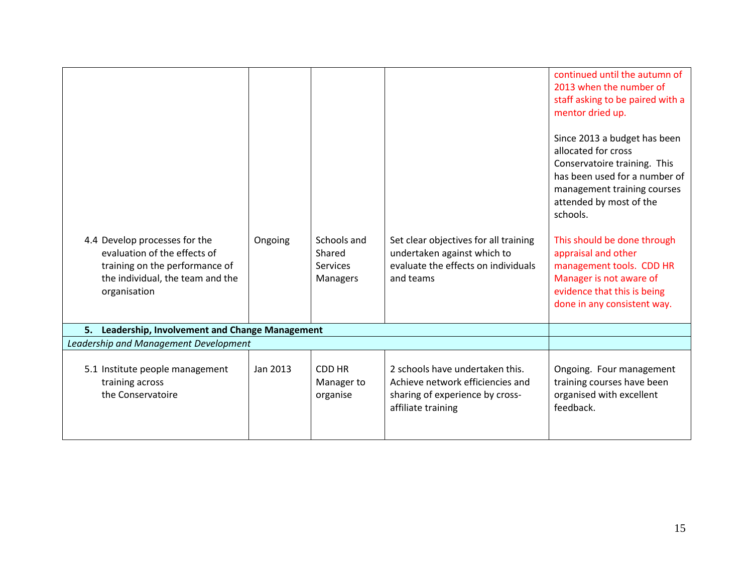|                                                                                                                                     |          |                                                             |                                                                                                                              | continued until the autumn of                                                                                                                                                                                                                                                                           |
|-------------------------------------------------------------------------------------------------------------------------------------|----------|-------------------------------------------------------------|------------------------------------------------------------------------------------------------------------------------------|---------------------------------------------------------------------------------------------------------------------------------------------------------------------------------------------------------------------------------------------------------------------------------------------------------|
|                                                                                                                                     |          |                                                             |                                                                                                                              | 2013 when the number of                                                                                                                                                                                                                                                                                 |
|                                                                                                                                     |          |                                                             |                                                                                                                              | staff asking to be paired with a                                                                                                                                                                                                                                                                        |
|                                                                                                                                     |          |                                                             |                                                                                                                              | mentor dried up.                                                                                                                                                                                                                                                                                        |
| 4.4 Develop processes for the<br>evaluation of the effects of<br>training on the performance of<br>the individual, the team and the | Ongoing  | Schools and<br>Shared<br><b>Services</b><br><b>Managers</b> | Set clear objectives for all training<br>undertaken against which to<br>evaluate the effects on individuals<br>and teams     | Since 2013 a budget has been<br>allocated for cross<br>Conservatoire training. This<br>has been used for a number of<br>management training courses<br>attended by most of the<br>schools.<br>This should be done through<br>appraisal and other<br>management tools. CDD HR<br>Manager is not aware of |
| organisation                                                                                                                        |          |                                                             |                                                                                                                              | evidence that this is being<br>done in any consistent way.                                                                                                                                                                                                                                              |
| 5. Leadership, Involvement and Change Management                                                                                    |          |                                                             |                                                                                                                              |                                                                                                                                                                                                                                                                                                         |
| Leadership and Management Development                                                                                               |          |                                                             |                                                                                                                              |                                                                                                                                                                                                                                                                                                         |
|                                                                                                                                     |          |                                                             |                                                                                                                              |                                                                                                                                                                                                                                                                                                         |
| 5.1 Institute people management<br>training across<br>the Conservatoire                                                             | Jan 2013 | CDD HR<br>Manager to<br>organise                            | 2 schools have undertaken this.<br>Achieve network efficiencies and<br>sharing of experience by cross-<br>affiliate training | Ongoing. Four management<br>training courses have been<br>organised with excellent<br>feedback.                                                                                                                                                                                                         |
|                                                                                                                                     |          |                                                             |                                                                                                                              |                                                                                                                                                                                                                                                                                                         |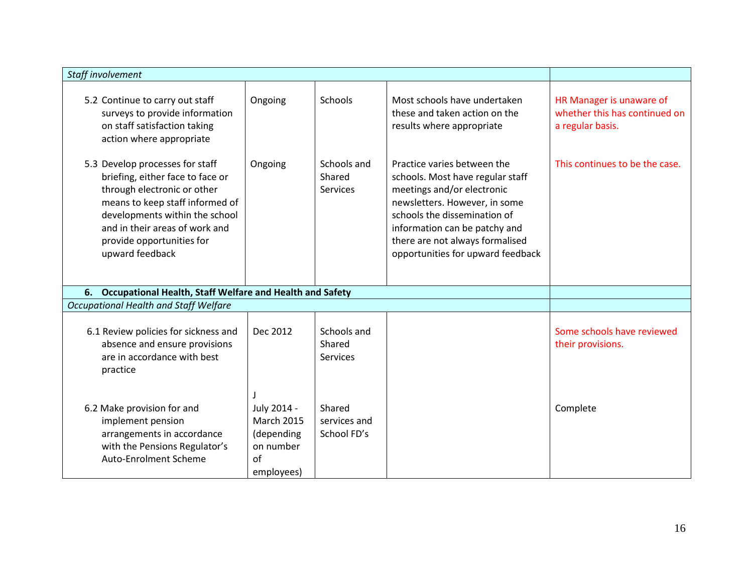| Staff involvement                                                                                                                                                                                                                                         |                                                                                 |                                          |                                                                                                                                                                                                                                                                         |                                                                               |
|-----------------------------------------------------------------------------------------------------------------------------------------------------------------------------------------------------------------------------------------------------------|---------------------------------------------------------------------------------|------------------------------------------|-------------------------------------------------------------------------------------------------------------------------------------------------------------------------------------------------------------------------------------------------------------------------|-------------------------------------------------------------------------------|
| 5.2 Continue to carry out staff<br>surveys to provide information<br>on staff satisfaction taking<br>action where appropriate                                                                                                                             | Ongoing                                                                         | Schools                                  | Most schools have undertaken<br>these and taken action on the<br>results where appropriate                                                                                                                                                                              | HR Manager is unaware of<br>whether this has continued on<br>a regular basis. |
| 5.3 Develop processes for staff<br>briefing, either face to face or<br>through electronic or other<br>means to keep staff informed of<br>developments within the school<br>and in their areas of work and<br>provide opportunities for<br>upward feedback | Ongoing                                                                         | Schools and<br>Shared<br>Services        | Practice varies between the<br>schools. Most have regular staff<br>meetings and/or electronic<br>newsletters. However, in some<br>schools the dissemination of<br>information can be patchy and<br>there are not always formalised<br>opportunities for upward feedback | This continues to be the case.                                                |
| 6. Occupational Health, Staff Welfare and Health and Safety                                                                                                                                                                                               |                                                                                 |                                          |                                                                                                                                                                                                                                                                         |                                                                               |
| Occupational Health and Staff Welfare                                                                                                                                                                                                                     |                                                                                 |                                          |                                                                                                                                                                                                                                                                         |                                                                               |
| 6.1 Review policies for sickness and<br>absence and ensure provisions<br>are in accordance with best<br>practice                                                                                                                                          | Dec 2012                                                                        | Schools and<br>Shared<br><b>Services</b> |                                                                                                                                                                                                                                                                         | Some schools have reviewed<br>their provisions.                               |
| 6.2 Make provision for and<br>implement pension<br>arrangements in accordance<br>with the Pensions Regulator's<br><b>Auto-Enrolment Scheme</b>                                                                                                            | July 2014 -<br><b>March 2015</b><br>(depending<br>on number<br>of<br>employees) | Shared<br>services and<br>School FD's    |                                                                                                                                                                                                                                                                         | Complete                                                                      |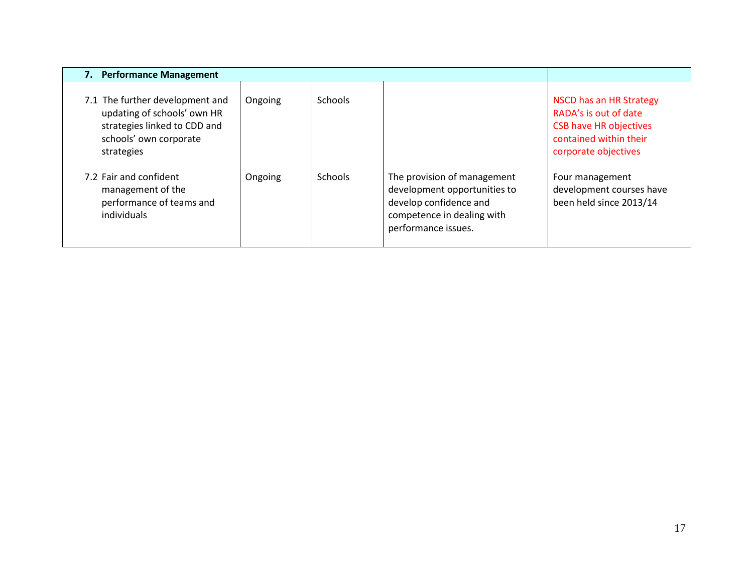| <b>Performance Management</b><br>7.                                                                                                    |         |         |                                                                                                                                            |                                                                                                                                     |
|----------------------------------------------------------------------------------------------------------------------------------------|---------|---------|--------------------------------------------------------------------------------------------------------------------------------------------|-------------------------------------------------------------------------------------------------------------------------------------|
| 7.1 The further development and<br>updating of schools' own HR<br>strategies linked to CDD and<br>schools' own corporate<br>strategies | Ongoing | Schools |                                                                                                                                            | NSCD has an HR Strategy<br>RADA's is out of date<br><b>CSB have HR objectives</b><br>contained within their<br>corporate objectives |
| 7.2 Fair and confident<br>management of the<br>performance of teams and<br>individuals                                                 | Ongoing | Schools | The provision of management<br>development opportunities to<br>develop confidence and<br>competence in dealing with<br>performance issues. | Four management<br>development courses have<br>been held since 2013/14                                                              |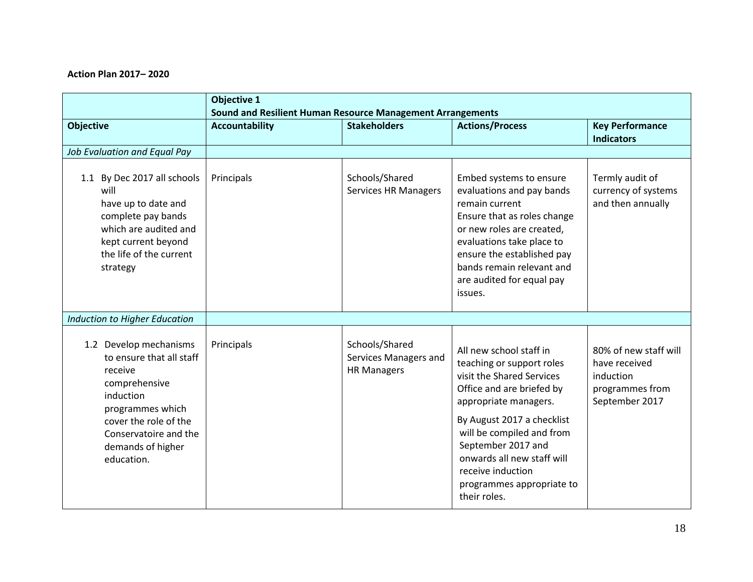# **Action Plan 2017– 2020**

|                                                                                                                                                                                                      | <b>Objective 1</b>                                                                  |                                                               |                                                                                                                                                                                                                                                                                                                          |                                                                                          |
|------------------------------------------------------------------------------------------------------------------------------------------------------------------------------------------------------|-------------------------------------------------------------------------------------|---------------------------------------------------------------|--------------------------------------------------------------------------------------------------------------------------------------------------------------------------------------------------------------------------------------------------------------------------------------------------------------------------|------------------------------------------------------------------------------------------|
| <b>Objective</b>                                                                                                                                                                                     | Sound and Resilient Human Resource Management Arrangements<br><b>Accountability</b> | <b>Stakeholders</b>                                           | <b>Actions/Process</b>                                                                                                                                                                                                                                                                                                   | <b>Key Performance</b><br><b>Indicators</b>                                              |
| Job Evaluation and Equal Pay                                                                                                                                                                         |                                                                                     |                                                               |                                                                                                                                                                                                                                                                                                                          |                                                                                          |
| 1.1 By Dec 2017 all schools<br>will<br>have up to date and<br>complete pay bands<br>which are audited and<br>kept current beyond<br>the life of the current<br>strategy                              | Principals                                                                          | Schools/Shared<br><b>Services HR Managers</b>                 | Embed systems to ensure<br>evaluations and pay bands<br>remain current<br>Ensure that as roles change<br>or new roles are created,<br>evaluations take place to<br>ensure the established pay<br>bands remain relevant and<br>are audited for equal pay<br>issues.                                                       | Termly audit of<br>currency of systems<br>and then annually                              |
| <b>Induction to Higher Education</b>                                                                                                                                                                 |                                                                                     |                                                               |                                                                                                                                                                                                                                                                                                                          |                                                                                          |
| 1.2 Develop mechanisms<br>to ensure that all staff<br>receive<br>comprehensive<br>induction<br>programmes which<br>cover the role of the<br>Conservatoire and the<br>demands of higher<br>education. | Principals                                                                          | Schools/Shared<br>Services Managers and<br><b>HR Managers</b> | All new school staff in<br>teaching or support roles<br>visit the Shared Services<br>Office and are briefed by<br>appropriate managers.<br>By August 2017 a checklist<br>will be compiled and from<br>September 2017 and<br>onwards all new staff will<br>receive induction<br>programmes appropriate to<br>their roles. | 80% of new staff will<br>have received<br>induction<br>programmes from<br>September 2017 |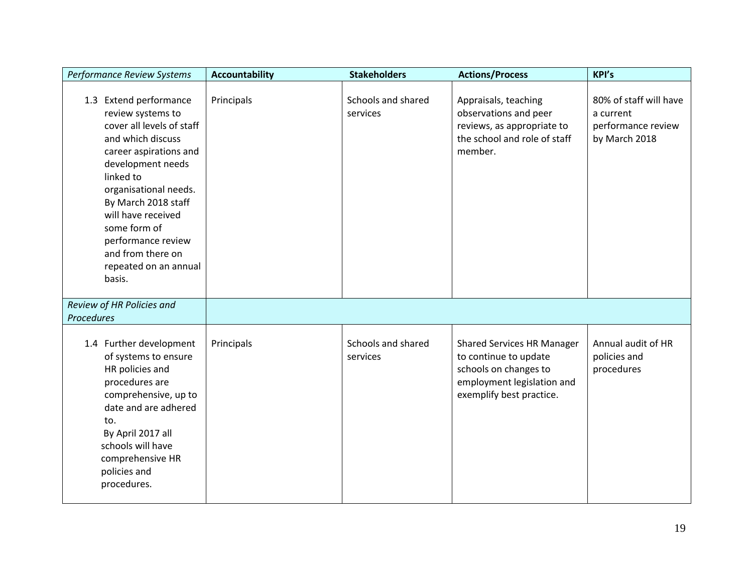| Performance Review Systems                                                                                                                                                                                                                                                                                                    | <b>Accountability</b> | <b>Stakeholders</b>            | <b>Actions/Process</b>                                                                                                                        | KPI's                                                                      |
|-------------------------------------------------------------------------------------------------------------------------------------------------------------------------------------------------------------------------------------------------------------------------------------------------------------------------------|-----------------------|--------------------------------|-----------------------------------------------------------------------------------------------------------------------------------------------|----------------------------------------------------------------------------|
| 1.3 Extend performance<br>review systems to<br>cover all levels of staff<br>and which discuss<br>career aspirations and<br>development needs<br>linked to<br>organisational needs.<br>By March 2018 staff<br>will have received<br>some form of<br>performance review<br>and from there on<br>repeated on an annual<br>basis. | Principals            | Schools and shared<br>services | Appraisals, teaching<br>observations and peer<br>reviews, as appropriate to<br>the school and role of staff<br>member.                        | 80% of staff will have<br>a current<br>performance review<br>by March 2018 |
| Review of HR Policies and<br>Procedures                                                                                                                                                                                                                                                                                       |                       |                                |                                                                                                                                               |                                                                            |
| 1.4 Further development<br>of systems to ensure<br>HR policies and<br>procedures are<br>comprehensive, up to<br>date and are adhered<br>to.<br>By April 2017 all<br>schools will have<br>comprehensive HR<br>policies and<br>procedures.                                                                                      | Principals            | Schools and shared<br>services | <b>Shared Services HR Manager</b><br>to continue to update<br>schools on changes to<br>employment legislation and<br>exemplify best practice. | Annual audit of HR<br>policies and<br>procedures                           |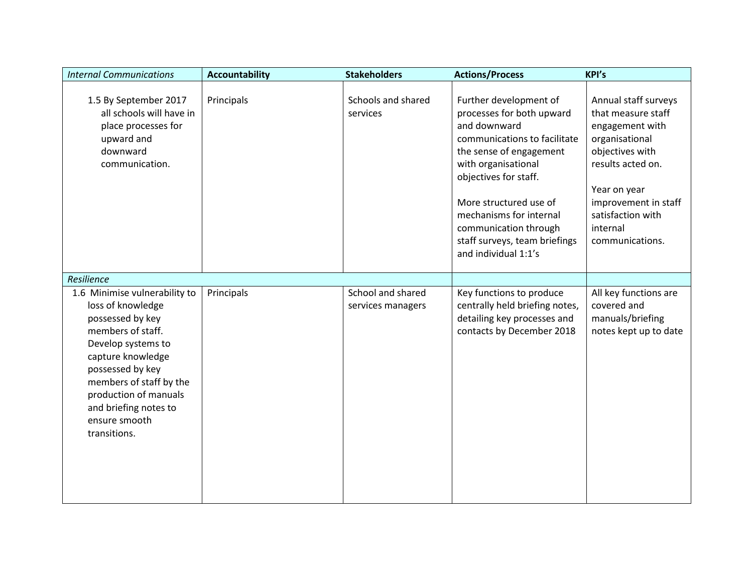| <b>Internal Communications</b>                                                                                                                                                                                                                                           | <b>Accountability</b> | <b>Stakeholders</b>                    | <b>Actions/Process</b>                                                                                                                                                                                                                                                                                                | <b>KPI's</b>                                                                                                                                                                                                        |
|--------------------------------------------------------------------------------------------------------------------------------------------------------------------------------------------------------------------------------------------------------------------------|-----------------------|----------------------------------------|-----------------------------------------------------------------------------------------------------------------------------------------------------------------------------------------------------------------------------------------------------------------------------------------------------------------------|---------------------------------------------------------------------------------------------------------------------------------------------------------------------------------------------------------------------|
| 1.5 By September 2017<br>all schools will have in<br>place processes for<br>upward and<br>downward<br>communication.                                                                                                                                                     | Principals            | Schools and shared<br>services         | Further development of<br>processes for both upward<br>and downward<br>communications to facilitate<br>the sense of engagement<br>with organisational<br>objectives for staff.<br>More structured use of<br>mechanisms for internal<br>communication through<br>staff surveys, team briefings<br>and individual 1:1's | Annual staff surveys<br>that measure staff<br>engagement with<br>organisational<br>objectives with<br>results acted on.<br>Year on year<br>improvement in staff<br>satisfaction with<br>internal<br>communications. |
| Resilience                                                                                                                                                                                                                                                               |                       |                                        |                                                                                                                                                                                                                                                                                                                       |                                                                                                                                                                                                                     |
| 1.6 Minimise vulnerability to<br>loss of knowledge<br>possessed by key<br>members of staff.<br>Develop systems to<br>capture knowledge<br>possessed by key<br>members of staff by the<br>production of manuals<br>and briefing notes to<br>ensure smooth<br>transitions. | Principals            | School and shared<br>services managers | Key functions to produce<br>centrally held briefing notes,<br>detailing key processes and<br>contacts by December 2018                                                                                                                                                                                                | All key functions are<br>covered and<br>manuals/briefing<br>notes kept up to date                                                                                                                                   |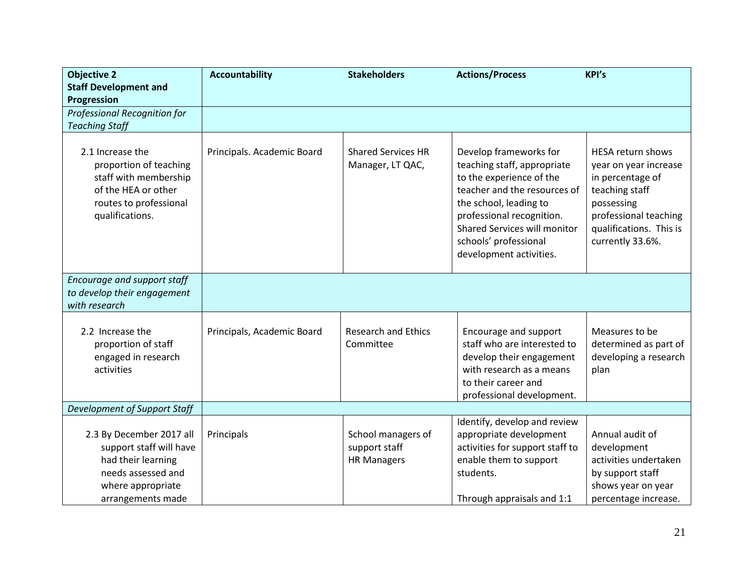| <b>Objective 2</b><br><b>Staff Development and</b>                                                                                        | <b>Accountability</b>      | <b>Stakeholders</b>                                       | <b>Actions/Process</b>                                                                                                                                                                                                                                       | <b>KPI's</b>                                                                                                                                                                  |
|-------------------------------------------------------------------------------------------------------------------------------------------|----------------------------|-----------------------------------------------------------|--------------------------------------------------------------------------------------------------------------------------------------------------------------------------------------------------------------------------------------------------------------|-------------------------------------------------------------------------------------------------------------------------------------------------------------------------------|
| Progression                                                                                                                               |                            |                                                           |                                                                                                                                                                                                                                                              |                                                                                                                                                                               |
| Professional Recognition for                                                                                                              |                            |                                                           |                                                                                                                                                                                                                                                              |                                                                                                                                                                               |
| <b>Teaching Staff</b>                                                                                                                     |                            |                                                           |                                                                                                                                                                                                                                                              |                                                                                                                                                                               |
| 2.1 Increase the<br>proportion of teaching<br>staff with membership<br>of the HEA or other<br>routes to professional<br>qualifications.   | Principals. Academic Board | <b>Shared Services HR</b><br>Manager, LT QAC,             | Develop frameworks for<br>teaching staff, appropriate<br>to the experience of the<br>teacher and the resources of<br>the school, leading to<br>professional recognition.<br>Shared Services will monitor<br>schools' professional<br>development activities. | <b>HESA return shows</b><br>year on year increase<br>in percentage of<br>teaching staff<br>possessing<br>professional teaching<br>qualifications. This is<br>currently 33.6%. |
| Encourage and support staff                                                                                                               |                            |                                                           |                                                                                                                                                                                                                                                              |                                                                                                                                                                               |
| to develop their engagement<br>with research                                                                                              |                            |                                                           |                                                                                                                                                                                                                                                              |                                                                                                                                                                               |
| 2.2 Increase the<br>proportion of staff<br>engaged in research<br>activities                                                              | Principals, Academic Board | <b>Research and Ethics</b><br>Committee                   | Encourage and support<br>staff who are interested to<br>develop their engagement<br>with research as a means<br>to their career and<br>professional development.                                                                                             | Measures to be<br>determined as part of<br>developing a research<br>plan                                                                                                      |
| Development of Support Staff                                                                                                              |                            |                                                           |                                                                                                                                                                                                                                                              |                                                                                                                                                                               |
| 2.3 By December 2017 all<br>support staff will have<br>had their learning<br>needs assessed and<br>where appropriate<br>arrangements made | Principals                 | School managers of<br>support staff<br><b>HR Managers</b> | Identify, develop and review<br>appropriate development<br>activities for support staff to<br>enable them to support<br>students.<br>Through appraisals and 1:1                                                                                              | Annual audit of<br>development<br>activities undertaken<br>by support staff<br>shows year on year<br>percentage increase.                                                     |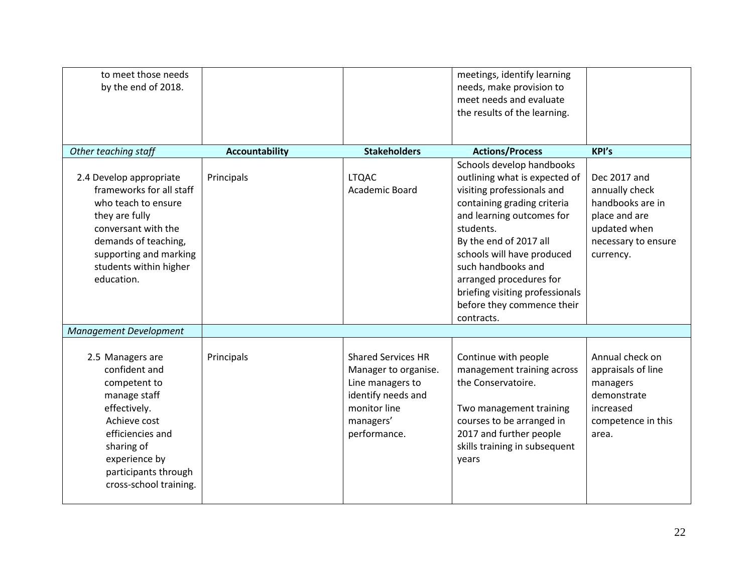| to meet those needs<br>by the end of 2018.                                                                                                                                                                    |                       |                                                                                                                                          | meetings, identify learning<br>needs, make provision to<br>meet needs and evaluate<br>the results of the learning.                                                                                                                                                                                                                                        |                                                                                                                         |
|---------------------------------------------------------------------------------------------------------------------------------------------------------------------------------------------------------------|-----------------------|------------------------------------------------------------------------------------------------------------------------------------------|-----------------------------------------------------------------------------------------------------------------------------------------------------------------------------------------------------------------------------------------------------------------------------------------------------------------------------------------------------------|-------------------------------------------------------------------------------------------------------------------------|
| Other teaching staff                                                                                                                                                                                          | <b>Accountability</b> | <b>Stakeholders</b>                                                                                                                      | <b>Actions/Process</b>                                                                                                                                                                                                                                                                                                                                    | <b>KPI's</b>                                                                                                            |
| 2.4 Develop appropriate<br>frameworks for all staff<br>who teach to ensure<br>they are fully<br>conversant with the<br>demands of teaching,<br>supporting and marking<br>students within higher<br>education. | Principals            | <b>LTQAC</b><br>Academic Board                                                                                                           | Schools develop handbooks<br>outlining what is expected of<br>visiting professionals and<br>containing grading criteria<br>and learning outcomes for<br>students.<br>By the end of 2017 all<br>schools will have produced<br>such handbooks and<br>arranged procedures for<br>briefing visiting professionals<br>before they commence their<br>contracts. | Dec 2017 and<br>annually check<br>handbooks are in<br>place and are<br>updated when<br>necessary to ensure<br>currency. |
| <b>Management Development</b>                                                                                                                                                                                 |                       |                                                                                                                                          |                                                                                                                                                                                                                                                                                                                                                           |                                                                                                                         |
| 2.5 Managers are<br>confident and<br>competent to<br>manage staff<br>effectively.<br>Achieve cost<br>efficiencies and<br>sharing of<br>experience by<br>participants through<br>cross-school training.        | Principals            | <b>Shared Services HR</b><br>Manager to organise.<br>Line managers to<br>identify needs and<br>monitor line<br>managers'<br>performance. | Continue with people<br>management training across<br>the Conservatoire.<br>Two management training<br>courses to be arranged in<br>2017 and further people<br>skills training in subsequent<br>years                                                                                                                                                     | Annual check on<br>appraisals of line<br>managers<br>demonstrate<br>increased<br>competence in this<br>area.            |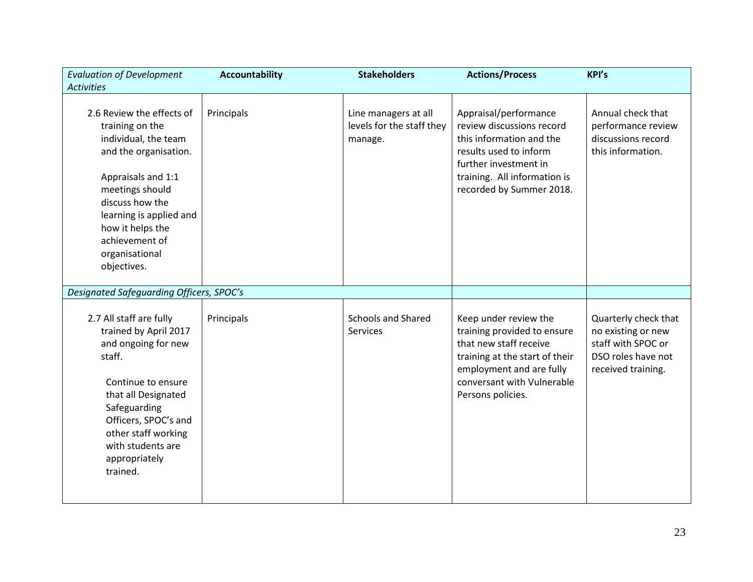| <b>Evaluation of Development</b>                                                                                                                                                                                                                            | <b>Accountability</b> | <b>Stakeholders</b>                                          | <b>Actions/Process</b>                                                                                                                                                                          | <b>KPI's</b>                                                                                                 |
|-------------------------------------------------------------------------------------------------------------------------------------------------------------------------------------------------------------------------------------------------------------|-----------------------|--------------------------------------------------------------|-------------------------------------------------------------------------------------------------------------------------------------------------------------------------------------------------|--------------------------------------------------------------------------------------------------------------|
| <b>Activities</b>                                                                                                                                                                                                                                           |                       |                                                              |                                                                                                                                                                                                 |                                                                                                              |
| 2.6 Review the effects of<br>training on the<br>individual, the team<br>and the organisation.<br>Appraisals and 1:1<br>meetings should<br>discuss how the<br>learning is applied and<br>how it helps the<br>achievement of<br>organisational<br>objectives. | Principals            | Line managers at all<br>levels for the staff they<br>manage. | Appraisal/performance<br>review discussions record<br>this information and the<br>results used to inform<br>further investment in<br>training. All information is<br>recorded by Summer 2018.   | Annual check that<br>performance review<br>discussions record<br>this information.                           |
| Designated Safeguarding Officers, SPOC's                                                                                                                                                                                                                    |                       |                                                              |                                                                                                                                                                                                 |                                                                                                              |
| 2.7 All staff are fully<br>trained by April 2017<br>and ongoing for new<br>staff.<br>Continue to ensure<br>that all Designated<br>Safeguarding<br>Officers, SPOC's and<br>other staff working<br>with students are<br>appropriately<br>trained.             | Principals            | <b>Schools and Shared</b><br>Services                        | Keep under review the<br>training provided to ensure<br>that new staff receive<br>training at the start of their<br>employment and are fully<br>conversant with Vulnerable<br>Persons policies. | Quarterly check that<br>no existing or new<br>staff with SPOC or<br>DSO roles have not<br>received training. |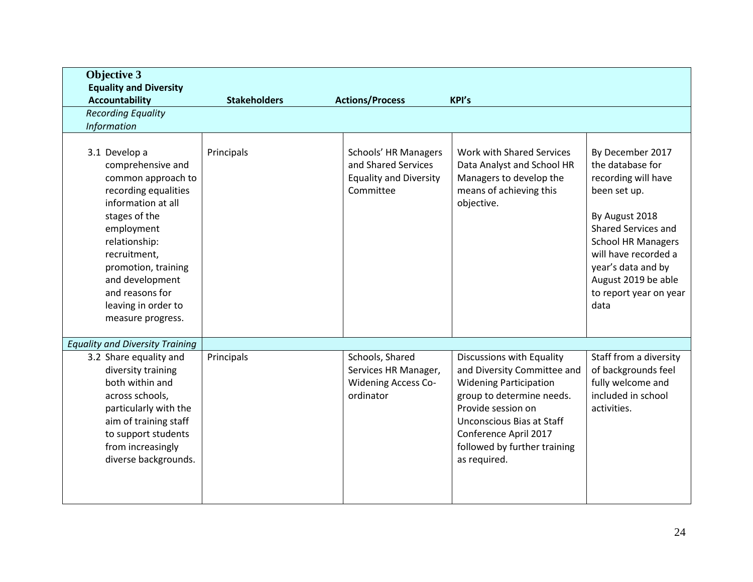| <b>Objective 3</b>                                                                                                                                                                                                                                                              |                     |                                                                                           |                                                                                                                                                                                                                                                    |                                                                                                                                                                                                                                                                 |
|---------------------------------------------------------------------------------------------------------------------------------------------------------------------------------------------------------------------------------------------------------------------------------|---------------------|-------------------------------------------------------------------------------------------|----------------------------------------------------------------------------------------------------------------------------------------------------------------------------------------------------------------------------------------------------|-----------------------------------------------------------------------------------------------------------------------------------------------------------------------------------------------------------------------------------------------------------------|
| <b>Equality and Diversity</b>                                                                                                                                                                                                                                                   |                     |                                                                                           |                                                                                                                                                                                                                                                    |                                                                                                                                                                                                                                                                 |
| <b>Accountability</b>                                                                                                                                                                                                                                                           | <b>Stakeholders</b> | <b>Actions/Process</b>                                                                    | <b>KPI's</b>                                                                                                                                                                                                                                       |                                                                                                                                                                                                                                                                 |
| <b>Recording Equality</b>                                                                                                                                                                                                                                                       |                     |                                                                                           |                                                                                                                                                                                                                                                    |                                                                                                                                                                                                                                                                 |
| Information                                                                                                                                                                                                                                                                     |                     |                                                                                           |                                                                                                                                                                                                                                                    |                                                                                                                                                                                                                                                                 |
| 3.1 Develop a<br>comprehensive and<br>common approach to<br>recording equalities<br>information at all<br>stages of the<br>employment<br>relationship:<br>recruitment,<br>promotion, training<br>and development<br>and reasons for<br>leaving in order to<br>measure progress. | Principals          | Schools' HR Managers<br>and Shared Services<br><b>Equality and Diversity</b><br>Committee | Work with Shared Services<br>Data Analyst and School HR<br>Managers to develop the<br>means of achieving this<br>objective.                                                                                                                        | By December 2017<br>the database for<br>recording will have<br>been set up.<br>By August 2018<br><b>Shared Services and</b><br><b>School HR Managers</b><br>will have recorded a<br>year's data and by<br>August 2019 be able<br>to report year on year<br>data |
| <b>Equality and Diversity Training</b>                                                                                                                                                                                                                                          |                     |                                                                                           |                                                                                                                                                                                                                                                    |                                                                                                                                                                                                                                                                 |
| 3.2 Share equality and<br>diversity training<br>both within and<br>across schools,<br>particularly with the<br>aim of training staff<br>to support students<br>from increasingly<br>diverse backgrounds.                                                                        | Principals          | Schools, Shared<br>Services HR Manager,<br><b>Widening Access Co-</b><br>ordinator        | Discussions with Equality<br>and Diversity Committee and<br><b>Widening Participation</b><br>group to determine needs.<br>Provide session on<br>Unconscious Bias at Staff<br>Conference April 2017<br>followed by further training<br>as required. | Staff from a diversity<br>of backgrounds feel<br>fully welcome and<br>included in school<br>activities.                                                                                                                                                         |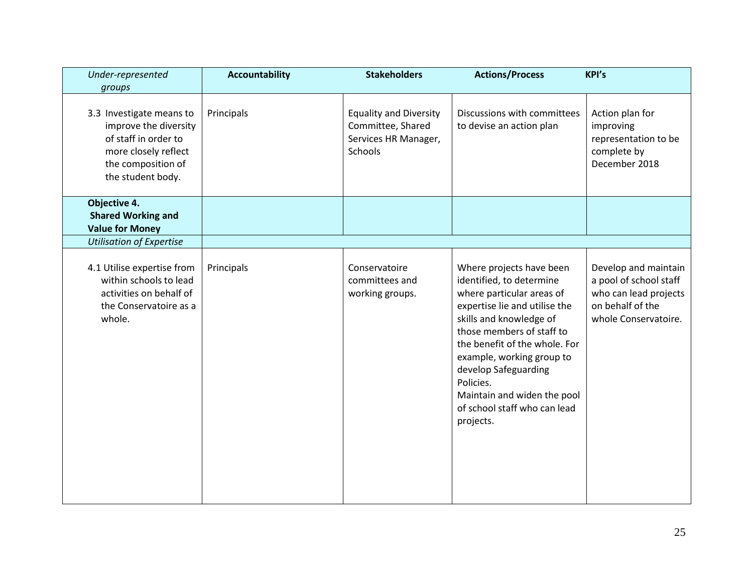| Under-represented<br>groups                                                                                                                  | <b>Accountability</b> | <b>Stakeholders</b>                                                                   | <b>Actions/Process</b>                                                                                                                                                                                                                                                                                                                                    | <b>KPI's</b>                                                                                                        |
|----------------------------------------------------------------------------------------------------------------------------------------------|-----------------------|---------------------------------------------------------------------------------------|-----------------------------------------------------------------------------------------------------------------------------------------------------------------------------------------------------------------------------------------------------------------------------------------------------------------------------------------------------------|---------------------------------------------------------------------------------------------------------------------|
| 3.3 Investigate means to<br>improve the diversity<br>of staff in order to<br>more closely reflect<br>the composition of<br>the student body. | Principals            | <b>Equality and Diversity</b><br>Committee, Shared<br>Services HR Manager,<br>Schools | Discussions with committees<br>to devise an action plan                                                                                                                                                                                                                                                                                                   | Action plan for<br>improving<br>representation to be<br>complete by<br>December 2018                                |
| Objective 4.<br><b>Shared Working and</b><br><b>Value for Money</b>                                                                          |                       |                                                                                       |                                                                                                                                                                                                                                                                                                                                                           |                                                                                                                     |
| <b>Utilisation of Expertise</b>                                                                                                              |                       |                                                                                       |                                                                                                                                                                                                                                                                                                                                                           |                                                                                                                     |
| 4.1 Utilise expertise from<br>within schools to lead<br>activities on behalf of<br>the Conservatoire as a<br>whole.                          | Principals            | Conservatoire<br>committees and<br>working groups.                                    | Where projects have been<br>identified, to determine<br>where particular areas of<br>expertise lie and utilise the<br>skills and knowledge of<br>those members of staff to<br>the benefit of the whole. For<br>example, working group to<br>develop Safeguarding<br>Policies.<br>Maintain and widen the pool<br>of school staff who can lead<br>projects. | Develop and maintain<br>a pool of school staff<br>who can lead projects<br>on behalf of the<br>whole Conservatoire. |